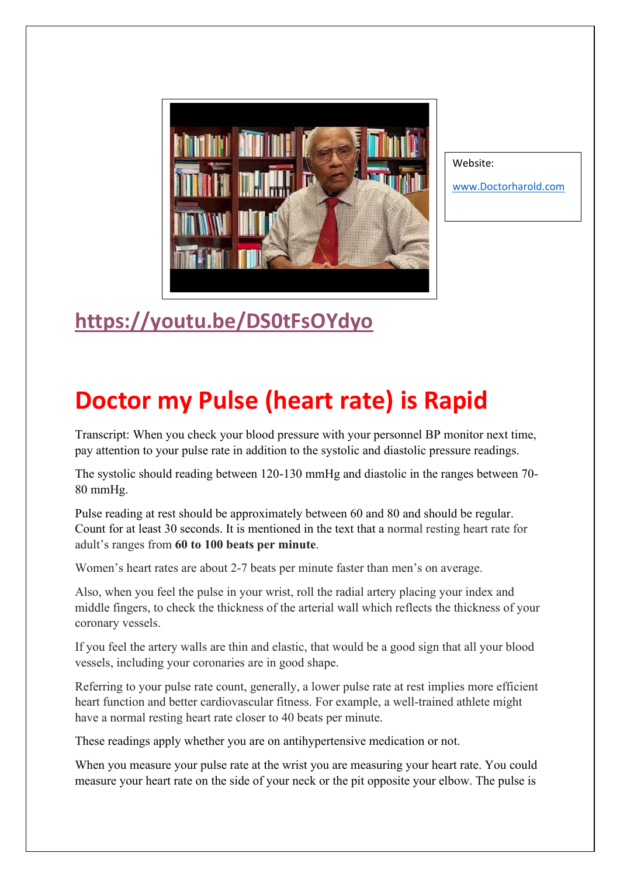

Website:

[www.Doctorharold.com](http://www.doctorharold.com/)

## **<https://youtu.be/DS0tFsOYdyo>**

## **Doctor my Pulse (heart rate) is Rapid**

Transcript: When you check your blood pressure with your personnel BP monitor next time, pay attention to your pulse rate in addition to the systolic and diastolic pressure readings.

The systolic should reading between 120-130 mmHg and diastolic in the ranges between 70- 80 mmHg.

Pulse reading at rest should be approximately between 60 and 80 and should be regular. Count for at least 30 seconds. It is mentioned in the text that a normal resting heart rate for adult's ranges from **60 to 100 beats per minute**.

Women's heart rates are about 2-7 beats per minute faster than men's on average.

Also, when you feel the pulse in your wrist, roll the radial artery placing your index and middle fingers, to check the thickness of the arterial wall which reflects the thickness of your coronary vessels.

If you feel the artery walls are thin and elastic, that would be a good sign that all your blood vessels, including your coronaries are in good shape.

Referring to your pulse rate count, generally, a lower pulse rate at rest implies more efficient heart function and better cardiovascular fitness. For example, a well-trained athlete might have a normal resting heart rate closer to 40 beats per minute.

These readings apply whether you are on antihypertensive medication or not.

When you measure your pulse rate at the wrist you are measuring your heart rate. You could measure your heart rate on the side of your neck or the pit opposite your elbow. The pulse is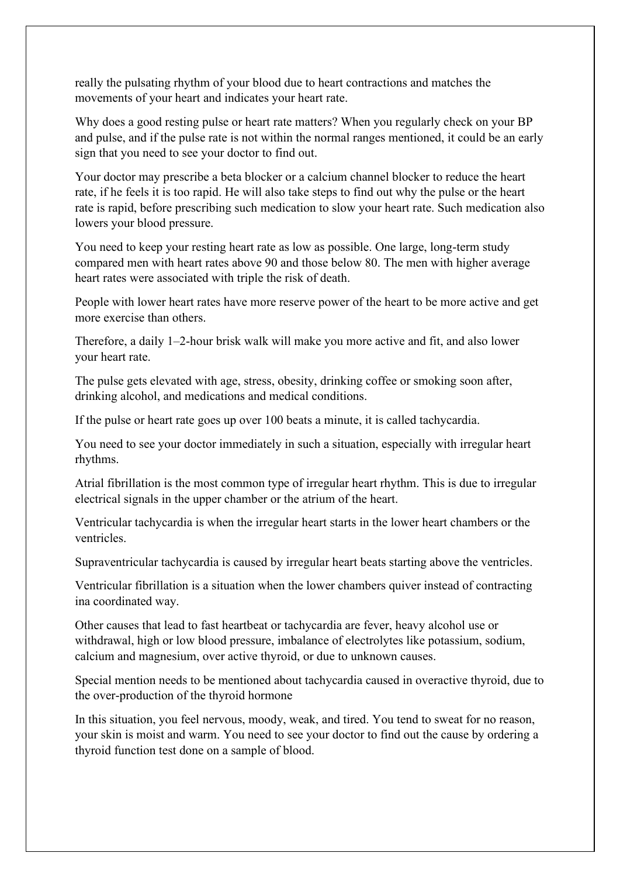really the pulsating rhythm of your blood due to heart contractions and matches the movements of your heart and indicates your heart rate.

Why does a good resting pulse or heart rate matters? When you regularly check on your BP and pulse, and if the pulse rate is not within the normal ranges mentioned, it could be an early sign that you need to see your doctor to find out.

Your doctor may prescribe a beta blocker or a calcium channel blocker to reduce the heart rate, if he feels it is too rapid. He will also take steps to find out why the pulse or the heart rate is rapid, before prescribing such medication to slow your heart rate. Such medication also lowers your blood pressure.

You need to keep your resting heart rate as low as possible. One large, long-term study compared men with heart rates above 90 and those below 80. The men with higher average heart rates were associated with triple the risk of death.

People with lower heart rates have more reserve power of the heart to be more active and get more exercise than others.

Therefore, a daily 1–2-hour brisk walk will make you more active and fit, and also lower your heart rate.

The pulse gets elevated with age, stress, obesity, drinking coffee or smoking soon after, drinking alcohol, and medications and medical conditions.

If the pulse or heart rate goes up over 100 beats a minute, it is called tachycardia.

You need to see your doctor immediately in such a situation, especially with irregular heart rhythms.

Atrial fibrillation is the most common type of irregular heart rhythm. This is due to irregular electrical signals in the upper chamber or the atrium of the heart.

Ventricular tachycardia is when the irregular heart starts in the lower heart chambers or the ventricles.

Supraventricular tachycardia is caused by irregular heart beats starting above the ventricles.

Ventricular fibrillation is a situation when the lower chambers quiver instead of contracting ina coordinated way.

Other causes that lead to fast heartbeat or tachycardia are fever, heavy alcohol use or withdrawal, high or low blood pressure, imbalance of electrolytes like potassium, sodium, calcium and magnesium, over active thyroid, or due to unknown causes.

Special mention needs to be mentioned about tachycardia caused in overactive thyroid, due to the over-production of the thyroid hormone

In this situation, you feel nervous, moody, weak, and tired. You tend to sweat for no reason, your skin is moist and warm. You need to see your doctor to find out the cause by ordering a thyroid function test done on a sample of blood.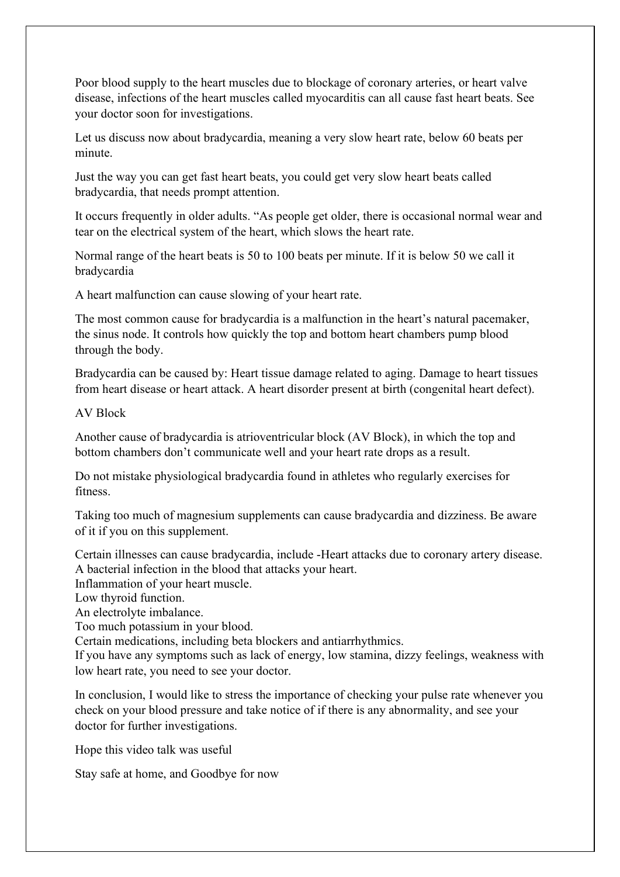Poor blood supply to the heart muscles due to blockage of coronary arteries, or heart valve disease, infections of the heart muscles called myocarditis can all cause fast heart beats. See your doctor soon for investigations.

Let us discuss now about bradycardia, meaning a very slow heart rate, below 60 beats per minute.

Just the way you can get fast heart beats, you could get very slow heart beats called bradycardia, that needs prompt attention.

It occurs frequently in older adults. "As people get older, there is occasional normal wear and tear on the electrical system of the heart, which slows the heart rate.

Normal range of the heart beats is 50 to 100 beats per minute. If it is below 50 we call it bradycardia

A heart malfunction can cause slowing of your heart rate.

The most common cause for bradycardia is a malfunction in the heart's natural pacemaker, the sinus node. It controls how quickly the top and bottom heart chambers pump blood through the body.

Bradycardia can be caused by: Heart tissue damage related to aging. Damage to heart tissues from heart disease or heart attack. A heart disorder present at birth (congenital heart defect).

AV Block

Another cause of bradycardia is atrioventricular block (AV Block), in which the top and bottom chambers don't communicate well and your heart rate drops as a result.

Do not mistake physiological bradycardia found in athletes who regularly exercises for fitness.

Taking too much of magnesium supplements can cause bradycardia and dizziness. Be aware of it if you on this supplement.

Certain illnesses can cause bradycardia, include -Heart attacks due to coronary artery disease. A bacterial infection in the blood that attacks your heart.

Inflammation of your heart muscle.

Low thyroid function.

An electrolyte imbalance.

Too much potassium in your blood.

Certain medications, including beta blockers and antiarrhythmics.

If you have any symptoms such as lack of energy, low stamina, dizzy feelings, weakness with low heart rate, you need to see your doctor.

In conclusion, I would like to stress the importance of checking your pulse rate whenever you check on your blood pressure and take notice of if there is any abnormality, and see your doctor for further investigations.

Hope this video talk was useful

Stay safe at home, and Goodbye for now